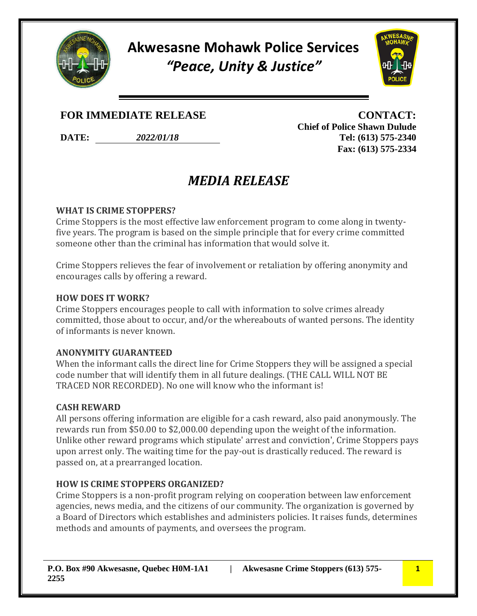

**Akwesasne Mohawk Police Services** *"Peace, Unity & Justice"*



# **FOR IMMEDIATE RELEASE CONTACT:**

**DATE:** *2022/01/18* **Tel: (613) 575-2340**

**Chief of Police Shawn Dulude Fax: (613) 575-2334**

# *MEDIA RELEASE*

#### **WHAT IS CRIME STOPPERS?**

Crime Stoppers is the most effective law enforcement program to come along in twentyfive years. The program is based on the simple principle that for every crime committed someone other than the criminal has information that would solve it.

Crime Stoppers relieves the fear of involvement or retaliation by offering anonymity and encourages calls by offering a reward.

### **HOW DOES IT WORK?**

Crime Stoppers encourages people to call with information to solve crimes already committed, those about to occur, and/or the whereabouts of wanted persons. The identity of informants is never known.

### **ANONYMITY GUARANTEED**

When the informant calls the direct line for Crime Stoppers they will be assigned a special code number that will identify them in all future dealings. (THE CALL WILL NOT BE TRACED NOR RECORDED). No one will know who the informant is!

### **CASH REWARD**

All persons offering information are eligible for a cash reward, also paid anonymously. The rewards run from \$50.00 to \$2,000.00 depending upon the weight of the information. Unlike other reward programs which stipulate' arrest and conviction', Crime Stoppers pays upon arrest only. The waiting time for the pay-out is drastically reduced. The reward is passed on, at a prearranged location.

### **HOW IS CRIME STOPPERS ORGANIZED?**

Crime Stoppers is a non-profit program relying on cooperation between law enforcement agencies, news media, and the citizens of our community. The organization is governed by a Board of Directors which establishes and administers policies. It raises funds, determines methods and amounts of payments, and oversees the program.